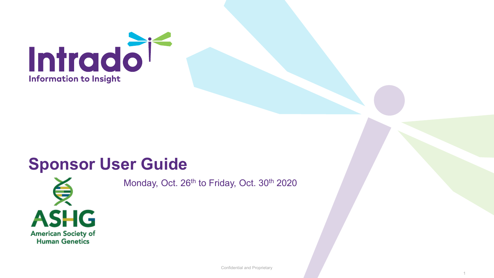

# **Sponsor User Guide**



Monday, Oct. 26<sup>th</sup> to Friday, Oct. 30<sup>th</sup> 2020

Confidential and Proprietary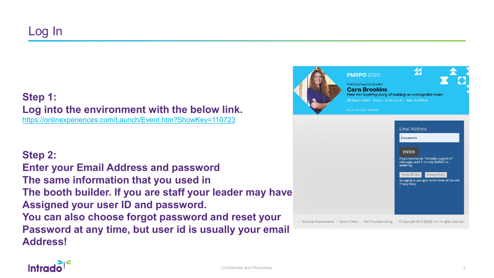#### **Step 1: Log into the environment with the below link.** <https://onlinexperiences.com/Launch/Event.htm?ShowKey=110723>

**Step 2:**

**Enter your Email Address and password The same information that you used in The booth builder. If you are staff your leader may have Assigned your user ID and password. You can also choose forgot password and reset your Password at any time, but user id is usually your email Address!**



Technical Requirements | System Check | Port Troubleshooting © Copyright 2018 INXPO, Inc. All rights reserved.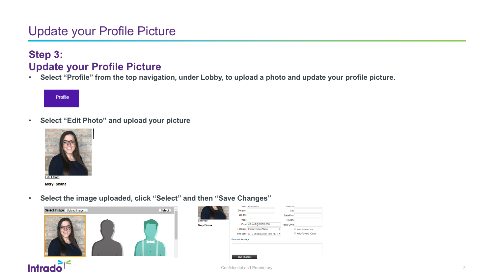## **Step 3: Update your Profile Picture**

• **Select "Profile" from the top navigation, under Lobby, to upload a photo and update your profile picture.** 

Profile

• **Select "Edit Photo" and upload your picture**



**Meryl Shane** 

• **Select the image uploaded, click "Select" and then "Save Changes"**



|             |                         | <b>INGITIC INICITI UNIQHIC</b>             | nuurcoo            |                     |
|-------------|-------------------------|--------------------------------------------|--------------------|---------------------|
|             | Company                 |                                            | City               |                     |
|             | <b>Job Title</b>        |                                            | State/Prov         |                     |
| dit Photo   | Phone                   |                                            | Country            |                     |
| leryl Shane |                         | Email MSHANE@INXPO.COM                     | <b>Postal Code</b> |                     |
|             |                         | Language English United States             |                    | Auto-Forward Mail   |
|             |                         | Time Zone (UTC-05:00) Eastern Time (US { ▼ |                    | Auto-Forward vCards |
|             | <b>Personal Message</b> |                                            |                    |                     |
|             |                         |                                            |                    |                     |
|             |                         |                                            |                    |                     |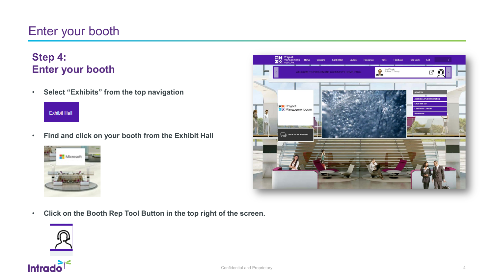## Enter your booth

## **Step 4: Enter your booth**

• **Select "Exhibits" from the top navigation**

## **Exhibit Hall**

• **Find and click on your booth from the Exhibit Hall**



- **PM** Projec **Help Desk** Exit Feedback Kiryl Shpak<br>Trusted IT Group ロ凤 Agenda & PDU Information **Chat with us!** PM Project<br>XZ. Management.com **Contribute Content Resources** CLICK HERE TO CHA
- **Click on the Booth Rep Tool Button in the top right of the screen.**



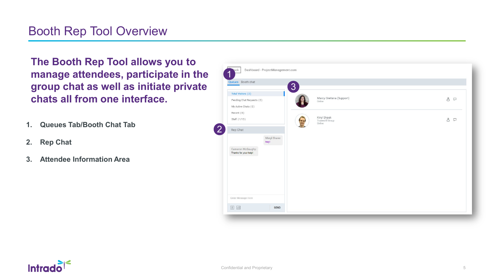## Booth Rep Tool Overview

**The Booth Rep Tool allows you to manage attendees, participate in the group chat as well as initiate private chats all from one interface.**

- **1. Queues Tab/Booth Chat Tab**
- **2. Rep Chat**
- **3. Attendee Information Area**



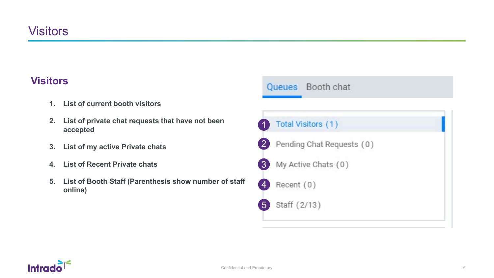#### **Visitors**

- **1. List of current booth visitors**
- **2. List of private chat requests that have not been accepted**
- **3. List of my active Private chats**
- **4. List of Recent Private chats**
- **5. List of Booth Staff (Parenthesis show number of staff online)**



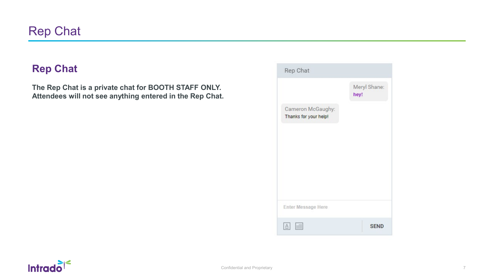#### **Rep Chat**

**The Rep Chat is a private chat for BOOTH STAFF ONLY. Attendees will not see anything entered in the Rep Chat.**

| Rep Chat                                   |                      |
|--------------------------------------------|----------------------|
|                                            | Meryl Shane:<br>hey! |
| Cameron McGaughy:<br>Thanks for your help! |                      |
| Enter Message Here                         |                      |
| m                                          | <b>SEND</b>          |

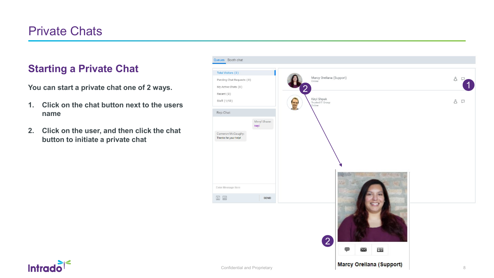## Private Chats

#### **Starting a Private Chat**

**You can start a private chat one of 2 ways.**

- **1. Click on the chat button next to the users name**
- **2. Click on the user, and then click the chat button to initiate a private chat**



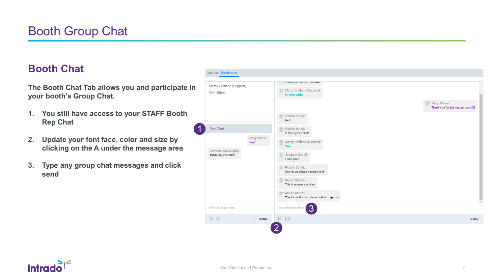#### **Booth Chat**

**The Booth Chat Tab allows you and participate in your booth's Group Chat.**

- **1. You still have access to your STAFF Booth Rep Chat**
- **2. Update your font face, color and size by clicking on the A under the message area**
- **3. Type any group chat messages and click send**



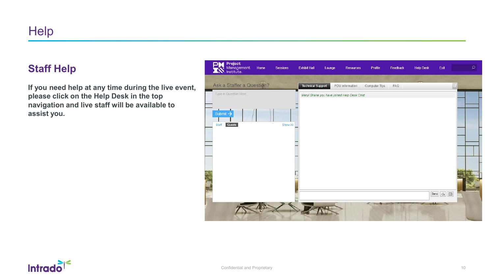#### **Staff Help**

**If you need help at any time during the live event, please click on the Help Desk in the top navigation and live staff will be available to assist you.**